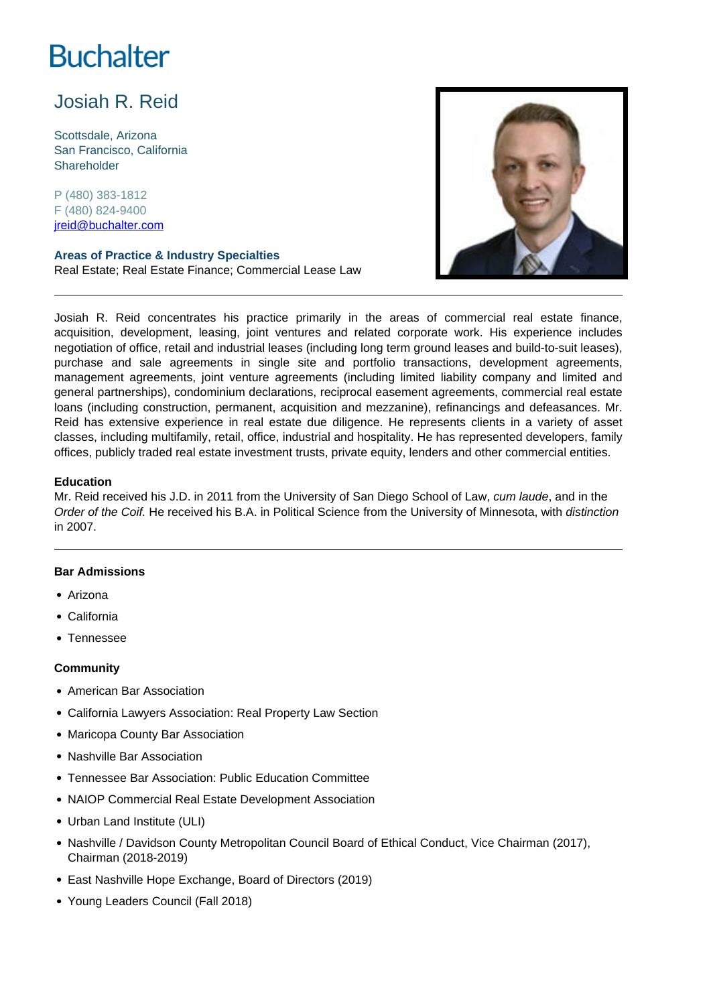# **Buchalter**

## Josiah R. Reid

Scottsdale, Arizona San Francisco, California Shareholder

P (480) 383-1812 F (480) 824-9400 jreid@buchalter.com

**Areas of Practice & Industry Specialties** Real Estate; Real Estate Finance; Commercial Lease Law



Josiah R. Reid concentrates his practice primarily in the areas of commercial real estate finance, acquisition, development, leasing, joint ventures and related corporate work. His experience includes negotiation of office, retail and industrial leases (including long term ground leases and build-to-suit leases), purchase and sale agreements in single site and portfolio transactions, development agreements, management agreements, joint venture agreements (including limited liability company and limited and general partnerships), condominium declarations, reciprocal easement agreements, commercial real estate loans (including construction, permanent, acquisition and mezzanine), refinancings and defeasances. Mr. Reid has extensive experience in real estate due diligence. He represents clients in a variety of asset classes, including multifamily, retail, office, industrial and hospitality. He has represented developers, family offices, publicly traded real estate investment trusts, private equity, lenders and other commercial entities.

### **Education**

Mr. Reid received his J.D. in 2011 from the University of San Diego School of Law, cum laude, and in the Order of the Coif. He received his B.A. in Political Science from the University of Minnesota, with distinction in 2007.

### **Bar Admissions**

- Arizona
- California
- Tennessee

#### **Community**

- American Bar Association
- California Lawyers Association: Real Property Law Section
- Maricopa County Bar Association
- Nashville Bar Association
- Tennessee Bar Association: Public Education Committee
- NAIOP Commercial Real Estate Development Association
- Urban Land Institute (ULI)
- Nashville / Davidson County Metropolitan Council Board of Ethical Conduct, Vice Chairman (2017), Chairman (2018-2019)
- East Nashville Hope Exchange, Board of Directors (2019)
- Young Leaders Council (Fall 2018)